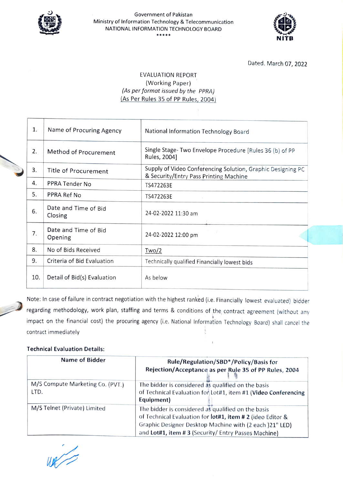

## Government of Pakistan Ministry of Information Technology & Telecommunication NATIONAL INFORMATION TECHNOLOGY BOARD \*\*\*\*\*



Dated. March 07, 2022

## EVALUATION REPORT (Working Paper) (As per format issued by the PPRA) (As Per Rules 35 of PP Rules, 2004)

| 1.  | Name of Procuring Agency        | National Information Technology Board                                                                 |
|-----|---------------------------------|-------------------------------------------------------------------------------------------------------|
| 2.  | Method of Procurement           | Single Stage- Two Envelope Procedure [Rules 36 (b) of PP<br>Rules, 2004]                              |
| 3.  | Title of Procurement            | Supply of Video Conferencing Solution, Graphic Designing PC<br>& Security/Entry Pass Printing Machine |
| 4.  | PPRA Tender No                  | TS472263E                                                                                             |
| 5.  | PPRA Ref No                     | TS472263E                                                                                             |
| 6.  | Date and Time of Bid<br>Closing | 24-02-2022 11:30 am                                                                                   |
| 7.  | Date and Time of Bid<br>Opening | 24-02-2022 12:00 pm                                                                                   |
| 8.  | No of Bids Received             | Two/2                                                                                                 |
| 9.  | Criteria of Bid Evaluation      | Technically qualified Financially lowest bids                                                         |
| 10. | Detail of Bid(s) Evaluation     | As below                                                                                              |

Note: In case of failure in contract negotiation with the highest ranked (i.e. Financially lowest evaluated) bidder regarding methodology, work plan, staffing and terms & conditions of the contract agreement (without any impact on the financial cost) the procuring agency (i.e. National Information Technology Board) shall cancel the contract immediately

 $\,$   $\,$ 

## Technical Evaluation Details:

| Name of Bidder                           | Rule/Regulation/SBD*/Policy/Basis for<br>Rejection/Acceptance as per Rule 35 of PP Rules, 2004                                                                                                                                    |
|------------------------------------------|-----------------------------------------------------------------------------------------------------------------------------------------------------------------------------------------------------------------------------------|
| M/S Compute Marketing Co. (PVT.)<br>LTD. | The bidder is considered as qualified on the basis<br>of Technical Evaluation for Lot#1, item #1 (Video Conferencing<br>Equipment)                                                                                                |
| M/S Telnet (Private) Limited             | The bidder is considered as qualified on the basis<br>of Technical Evaluation for lot#1, item # 2 (ideo Editor &<br>Graphic Designer Desktop Machine with (2 each )21" LED)<br>and Lot#1, item #3 (Security/Entry Passes Machine) |